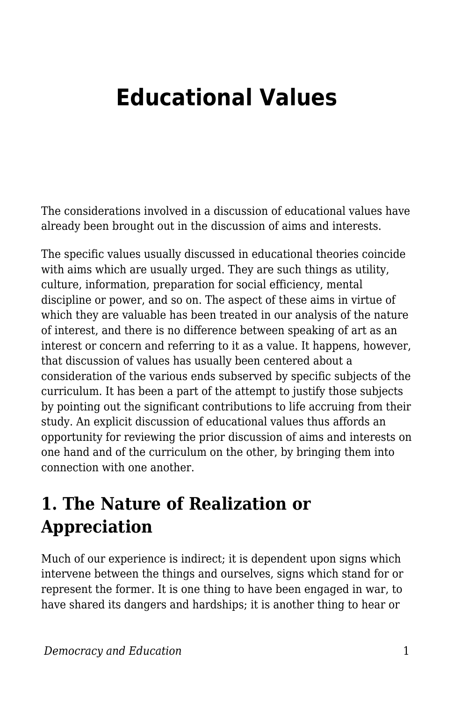## **Educational Values**

The considerations involved in a discussion of educational values have already been brought out in the discussion of aims and interests.

The specific values usually discussed in educational theories coincide with aims which are usually urged. They are such things as utility, culture, information, preparation for social efficiency, mental discipline or power, and so on. The aspect of these aims in virtue of which they are valuable has been treated in our analysis of the nature of interest, and there is no difference between speaking of art as an interest or concern and referring to it as a value. It happens, however, that discussion of values has usually been centered about a consideration of the various ends subserved by specific subjects of the curriculum. It has been a part of the attempt to justify those subjects by pointing out the significant contributions to life accruing from their study. An explicit discussion of educational values thus affords an opportunity for reviewing the prior discussion of aims and interests on one hand and of the curriculum on the other, by bringing them into connection with one another.

## **1. The Nature of Realization or Appreciation**

Much of our experience is indirect; it is dependent upon signs which intervene between the things and ourselves, signs which stand for or represent the former. It is one thing to have been engaged in war, to have shared its dangers and hardships; it is another thing to hear or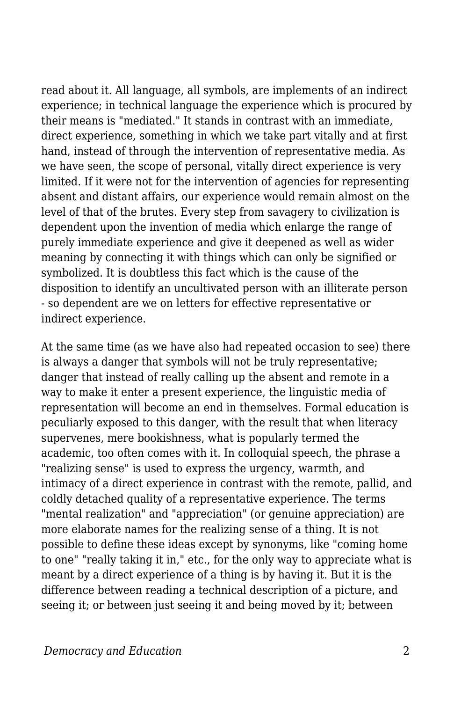read about it. All language, all symbols, are implements of an indirect experience; in technical language the experience which is procured by their means is "mediated." It stands in contrast with an immediate, direct experience, something in which we take part vitally and at first hand, instead of through the intervention of representative media. As we have seen, the scope of personal, vitally direct experience is very limited. If it were not for the intervention of agencies for representing absent and distant affairs, our experience would remain almost on the level of that of the brutes. Every step from savagery to civilization is dependent upon the invention of media which enlarge the range of purely immediate experience and give it deepened as well as wider meaning by connecting it with things which can only be signified or symbolized. It is doubtless this fact which is the cause of the disposition to identify an uncultivated person with an illiterate person - so dependent are we on letters for effective representative or indirect experience.

At the same time (as we have also had repeated occasion to see) there is always a danger that symbols will not be truly representative; danger that instead of really calling up the absent and remote in a way to make it enter a present experience, the linguistic media of representation will become an end in themselves. Formal education is peculiarly exposed to this danger, with the result that when literacy supervenes, mere bookishness, what is popularly termed the academic, too often comes with it. In colloquial speech, the phrase a "realizing sense" is used to express the urgency, warmth, and intimacy of a direct experience in contrast with the remote, pallid, and coldly detached quality of a representative experience. The terms "mental realization" and "appreciation" (or genuine appreciation) are more elaborate names for the realizing sense of a thing. It is not possible to define these ideas except by synonyms, like "coming home to one" "really taking it in," etc., for the only way to appreciate what is meant by a direct experience of a thing is by having it. But it is the difference between reading a technical description of a picture, and seeing it; or between just seeing it and being moved by it; between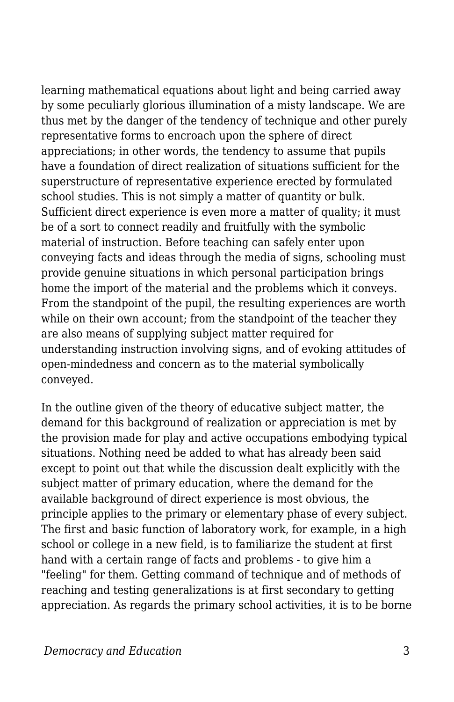learning mathematical equations about light and being carried away by some peculiarly glorious illumination of a misty landscape. We are thus met by the danger of the tendency of technique and other purely representative forms to encroach upon the sphere of direct appreciations; in other words, the tendency to assume that pupils have a foundation of direct realization of situations sufficient for the superstructure of representative experience erected by formulated school studies. This is not simply a matter of quantity or bulk. Sufficient direct experience is even more a matter of quality; it must be of a sort to connect readily and fruitfully with the symbolic material of instruction. Before teaching can safely enter upon conveying facts and ideas through the media of signs, schooling must provide genuine situations in which personal participation brings home the import of the material and the problems which it conveys. From the standpoint of the pupil, the resulting experiences are worth while on their own account; from the standpoint of the teacher they are also means of supplying subject matter required for understanding instruction involving signs, and of evoking attitudes of open-mindedness and concern as to the material symbolically conveyed.

In the outline given of the theory of educative subject matter, the demand for this background of realization or appreciation is met by the provision made for play and active occupations embodying typical situations. Nothing need be added to what has already been said except to point out that while the discussion dealt explicitly with the subject matter of primary education, where the demand for the available background of direct experience is most obvious, the principle applies to the primary or elementary phase of every subject. The first and basic function of laboratory work, for example, in a high school or college in a new field, is to familiarize the student at first hand with a certain range of facts and problems - to give him a "feeling" for them. Getting command of technique and of methods of reaching and testing generalizations is at first secondary to getting appreciation. As regards the primary school activities, it is to be borne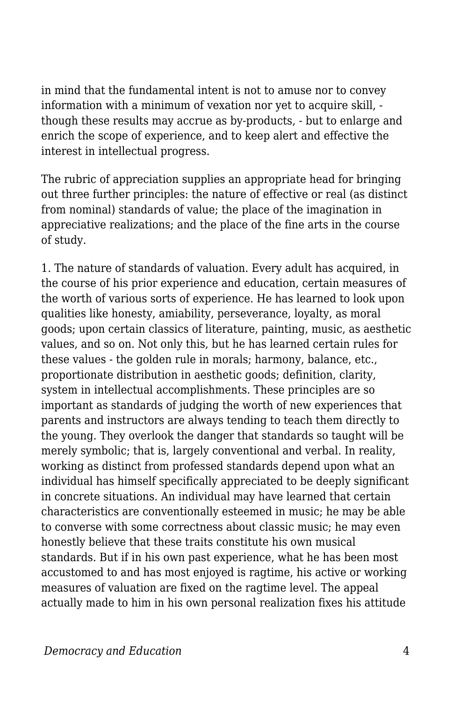in mind that the fundamental intent is not to amuse nor to convey information with a minimum of vexation nor yet to acquire skill, though these results may accrue as by-products, - but to enlarge and enrich the scope of experience, and to keep alert and effective the interest in intellectual progress.

The rubric of appreciation supplies an appropriate head for bringing out three further principles: the nature of effective or real (as distinct from nominal) standards of value; the place of the imagination in appreciative realizations; and the place of the fine arts in the course of study.

1. The nature of standards of valuation. Every adult has acquired, in the course of his prior experience and education, certain measures of the worth of various sorts of experience. He has learned to look upon qualities like honesty, amiability, perseverance, loyalty, as moral goods; upon certain classics of literature, painting, music, as aesthetic values, and so on. Not only this, but he has learned certain rules for these values - the golden rule in morals; harmony, balance, etc., proportionate distribution in aesthetic goods; definition, clarity, system in intellectual accomplishments. These principles are so important as standards of judging the worth of new experiences that parents and instructors are always tending to teach them directly to the young. They overlook the danger that standards so taught will be merely symbolic; that is, largely conventional and verbal. In reality, working as distinct from professed standards depend upon what an individual has himself specifically appreciated to be deeply significant in concrete situations. An individual may have learned that certain characteristics are conventionally esteemed in music; he may be able to converse with some correctness about classic music; he may even honestly believe that these traits constitute his own musical standards. But if in his own past experience, what he has been most accustomed to and has most enjoyed is ragtime, his active or working measures of valuation are fixed on the ragtime level. The appeal actually made to him in his own personal realization fixes his attitude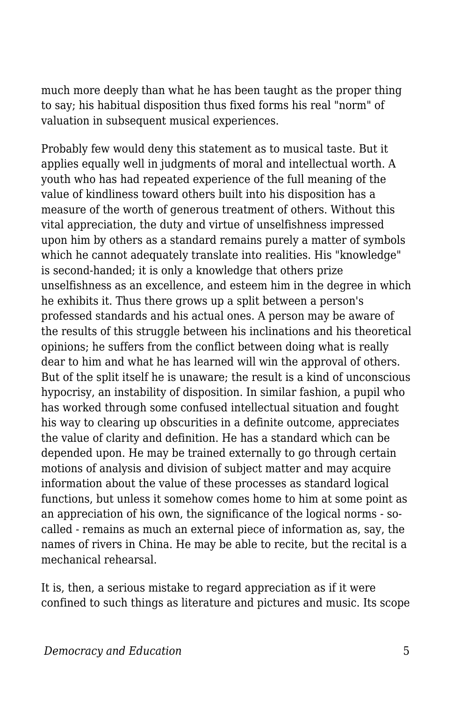much more deeply than what he has been taught as the proper thing to say; his habitual disposition thus fixed forms his real "norm" of valuation in subsequent musical experiences.

Probably few would deny this statement as to musical taste. But it applies equally well in judgments of moral and intellectual worth. A youth who has had repeated experience of the full meaning of the value of kindliness toward others built into his disposition has a measure of the worth of generous treatment of others. Without this vital appreciation, the duty and virtue of unselfishness impressed upon him by others as a standard remains purely a matter of symbols which he cannot adequately translate into realities. His "knowledge" is second-handed; it is only a knowledge that others prize unselfishness as an excellence, and esteem him in the degree in which he exhibits it. Thus there grows up a split between a person's professed standards and his actual ones. A person may be aware of the results of this struggle between his inclinations and his theoretical opinions; he suffers from the conflict between doing what is really dear to him and what he has learned will win the approval of others. But of the split itself he is unaware; the result is a kind of unconscious hypocrisy, an instability of disposition. In similar fashion, a pupil who has worked through some confused intellectual situation and fought his way to clearing up obscurities in a definite outcome, appreciates the value of clarity and definition. He has a standard which can be depended upon. He may be trained externally to go through certain motions of analysis and division of subject matter and may acquire information about the value of these processes as standard logical functions, but unless it somehow comes home to him at some point as an appreciation of his own, the significance of the logical norms - socalled - remains as much an external piece of information as, say, the names of rivers in China. He may be able to recite, but the recital is a mechanical rehearsal.

It is, then, a serious mistake to regard appreciation as if it were confined to such things as literature and pictures and music. Its scope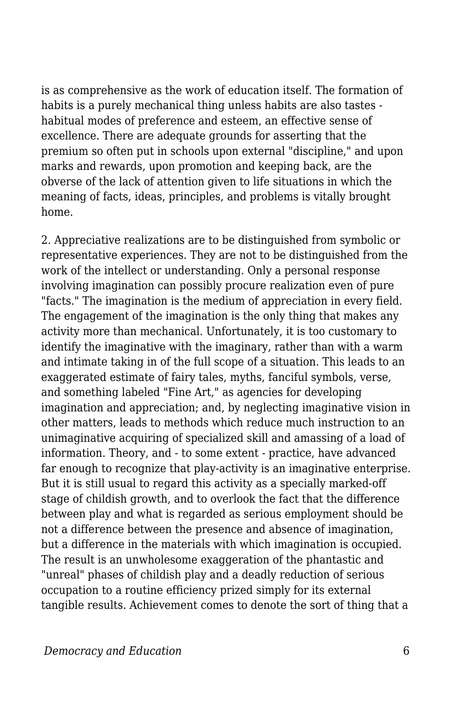is as comprehensive as the work of education itself. The formation of habits is a purely mechanical thing unless habits are also tastes habitual modes of preference and esteem, an effective sense of excellence. There are adequate grounds for asserting that the premium so often put in schools upon external "discipline," and upon marks and rewards, upon promotion and keeping back, are the obverse of the lack of attention given to life situations in which the meaning of facts, ideas, principles, and problems is vitally brought home.

2. Appreciative realizations are to be distinguished from symbolic or representative experiences. They are not to be distinguished from the work of the intellect or understanding. Only a personal response involving imagination can possibly procure realization even of pure "facts." The imagination is the medium of appreciation in every field. The engagement of the imagination is the only thing that makes any activity more than mechanical. Unfortunately, it is too customary to identify the imaginative with the imaginary, rather than with a warm and intimate taking in of the full scope of a situation. This leads to an exaggerated estimate of fairy tales, myths, fanciful symbols, verse, and something labeled "Fine Art," as agencies for developing imagination and appreciation; and, by neglecting imaginative vision in other matters, leads to methods which reduce much instruction to an unimaginative acquiring of specialized skill and amassing of a load of information. Theory, and - to some extent - practice, have advanced far enough to recognize that play-activity is an imaginative enterprise. But it is still usual to regard this activity as a specially marked-off stage of childish growth, and to overlook the fact that the difference between play and what is regarded as serious employment should be not a difference between the presence and absence of imagination, but a difference in the materials with which imagination is occupied. The result is an unwholesome exaggeration of the phantastic and "unreal" phases of childish play and a deadly reduction of serious occupation to a routine efficiency prized simply for its external tangible results. Achievement comes to denote the sort of thing that a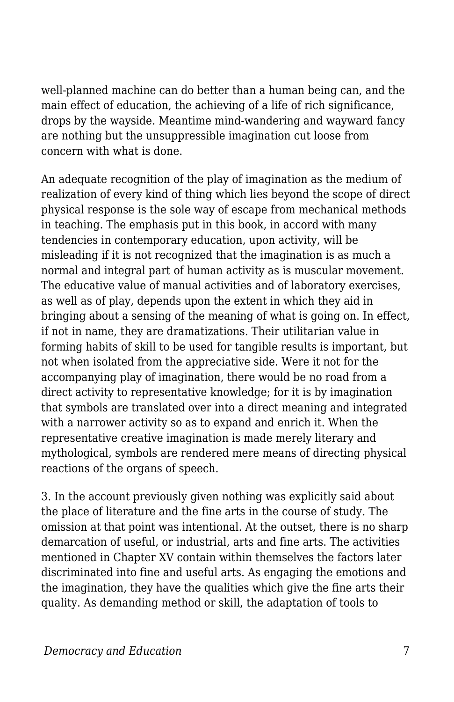well-planned machine can do better than a human being can, and the main effect of education, the achieving of a life of rich significance, drops by the wayside. Meantime mind-wandering and wayward fancy are nothing but the unsuppressible imagination cut loose from concern with what is done.

An adequate recognition of the play of imagination as the medium of realization of every kind of thing which lies beyond the scope of direct physical response is the sole way of escape from mechanical methods in teaching. The emphasis put in this book, in accord with many tendencies in contemporary education, upon activity, will be misleading if it is not recognized that the imagination is as much a normal and integral part of human activity as is muscular movement. The educative value of manual activities and of laboratory exercises, as well as of play, depends upon the extent in which they aid in bringing about a sensing of the meaning of what is going on. In effect, if not in name, they are dramatizations. Their utilitarian value in forming habits of skill to be used for tangible results is important, but not when isolated from the appreciative side. Were it not for the accompanying play of imagination, there would be no road from a direct activity to representative knowledge; for it is by imagination that symbols are translated over into a direct meaning and integrated with a narrower activity so as to expand and enrich it. When the representative creative imagination is made merely literary and mythological, symbols are rendered mere means of directing physical reactions of the organs of speech.

3. In the account previously given nothing was explicitly said about the place of literature and the fine arts in the course of study. The omission at that point was intentional. At the outset, there is no sharp demarcation of useful, or industrial, arts and fine arts. The activities mentioned in Chapter XV contain within themselves the factors later discriminated into fine and useful arts. As engaging the emotions and the imagination, they have the qualities which give the fine arts their quality. As demanding method or skill, the adaptation of tools to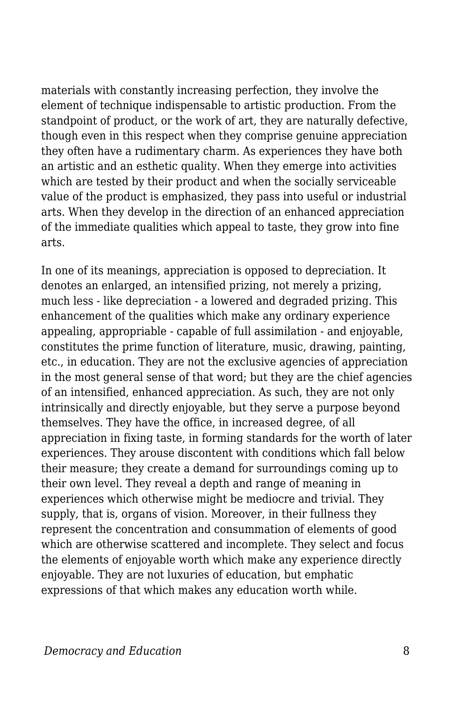materials with constantly increasing perfection, they involve the element of technique indispensable to artistic production. From the standpoint of product, or the work of art, they are naturally defective, though even in this respect when they comprise genuine appreciation they often have a rudimentary charm. As experiences they have both an artistic and an esthetic quality. When they emerge into activities which are tested by their product and when the socially serviceable value of the product is emphasized, they pass into useful or industrial arts. When they develop in the direction of an enhanced appreciation of the immediate qualities which appeal to taste, they grow into fine arts.

In one of its meanings, appreciation is opposed to depreciation. It denotes an enlarged, an intensified prizing, not merely a prizing, much less - like depreciation - a lowered and degraded prizing. This enhancement of the qualities which make any ordinary experience appealing, appropriable - capable of full assimilation - and enjoyable, constitutes the prime function of literature, music, drawing, painting, etc., in education. They are not the exclusive agencies of appreciation in the most general sense of that word; but they are the chief agencies of an intensified, enhanced appreciation. As such, they are not only intrinsically and directly enjoyable, but they serve a purpose beyond themselves. They have the office, in increased degree, of all appreciation in fixing taste, in forming standards for the worth of later experiences. They arouse discontent with conditions which fall below their measure; they create a demand for surroundings coming up to their own level. They reveal a depth and range of meaning in experiences which otherwise might be mediocre and trivial. They supply, that is, organs of vision. Moreover, in their fullness they represent the concentration and consummation of elements of good which are otherwise scattered and incomplete. They select and focus the elements of enjoyable worth which make any experience directly enjoyable. They are not luxuries of education, but emphatic expressions of that which makes any education worth while.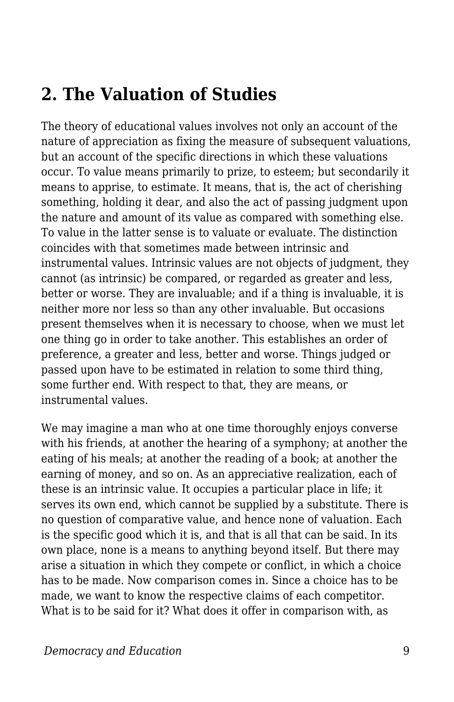## **2. The Valuation of Studies**

The theory of educational values involves not only an account of the nature of appreciation as fixing the measure of subsequent valuations, but an account of the specific directions in which these valuations occur. To value means primarily to prize, to esteem; but secondarily it means to apprise, to estimate. It means, that is, the act of cherishing something, holding it dear, and also the act of passing judgment upon the nature and amount of its value as compared with something else. To value in the latter sense is to valuate or evaluate. The distinction coincides with that sometimes made between intrinsic and instrumental values. Intrinsic values are not objects of judgment, they cannot (as intrinsic) be compared, or regarded as greater and less, better or worse. They are invaluable; and if a thing is invaluable, it is neither more nor less so than any other invaluable. But occasions present themselves when it is necessary to choose, when we must let one thing go in order to take another. This establishes an order of preference, a greater and less, better and worse. Things judged or passed upon have to be estimated in relation to some third thing, some further end. With respect to that, they are means, or instrumental values.

We may imagine a man who at one time thoroughly enjoys converse with his friends, at another the hearing of a symphony; at another the eating of his meals; at another the reading of a book; at another the earning of money, and so on. As an appreciative realization, each of these is an intrinsic value. It occupies a particular place in life; it serves its own end, which cannot be supplied by a substitute. There is no question of comparative value, and hence none of valuation. Each is the specific good which it is, and that is all that can be said. In its own place, none is a means to anything beyond itself. But there may arise a situation in which they compete or conflict, in which a choice has to be made. Now comparison comes in. Since a choice has to be made, we want to know the respective claims of each competitor. What is to be said for it? What does it offer in comparison with, as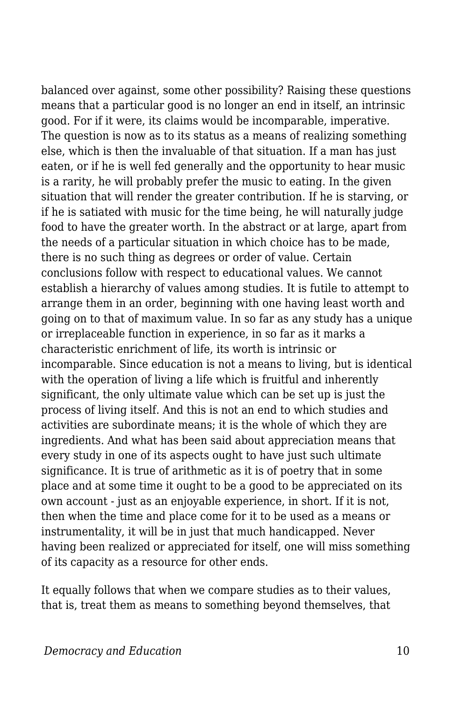balanced over against, some other possibility? Raising these questions means that a particular good is no longer an end in itself, an intrinsic good. For if it were, its claims would be incomparable, imperative. The question is now as to its status as a means of realizing something else, which is then the invaluable of that situation. If a man has just eaten, or if he is well fed generally and the opportunity to hear music is a rarity, he will probably prefer the music to eating. In the given situation that will render the greater contribution. If he is starving, or if he is satiated with music for the time being, he will naturally judge food to have the greater worth. In the abstract or at large, apart from the needs of a particular situation in which choice has to be made, there is no such thing as degrees or order of value. Certain conclusions follow with respect to educational values. We cannot establish a hierarchy of values among studies. It is futile to attempt to arrange them in an order, beginning with one having least worth and going on to that of maximum value. In so far as any study has a unique or irreplaceable function in experience, in so far as it marks a characteristic enrichment of life, its worth is intrinsic or incomparable. Since education is not a means to living, but is identical with the operation of living a life which is fruitful and inherently significant, the only ultimate value which can be set up is just the process of living itself. And this is not an end to which studies and activities are subordinate means; it is the whole of which they are ingredients. And what has been said about appreciation means that every study in one of its aspects ought to have just such ultimate significance. It is true of arithmetic as it is of poetry that in some place and at some time it ought to be a good to be appreciated on its own account - just as an enjoyable experience, in short. If it is not, then when the time and place come for it to be used as a means or instrumentality, it will be in just that much handicapped. Never having been realized or appreciated for itself, one will miss something of its capacity as a resource for other ends.

It equally follows that when we compare studies as to their values, that is, treat them as means to something beyond themselves, that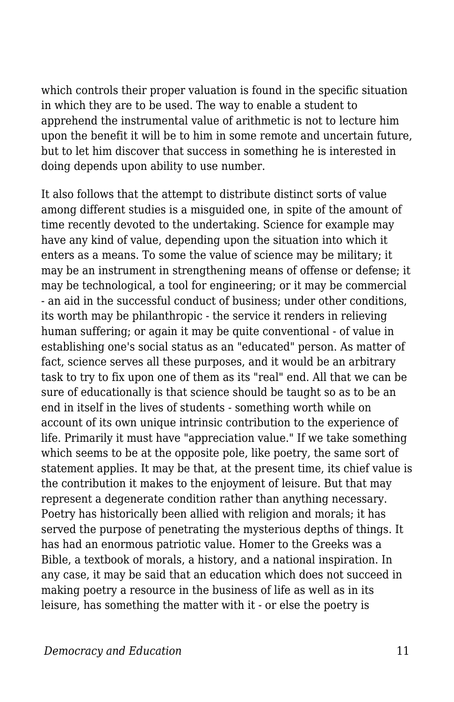which controls their proper valuation is found in the specific situation in which they are to be used. The way to enable a student to apprehend the instrumental value of arithmetic is not to lecture him upon the benefit it will be to him in some remote and uncertain future, but to let him discover that success in something he is interested in doing depends upon ability to use number.

It also follows that the attempt to distribute distinct sorts of value among different studies is a misguided one, in spite of the amount of time recently devoted to the undertaking. Science for example may have any kind of value, depending upon the situation into which it enters as a means. To some the value of science may be military; it may be an instrument in strengthening means of offense or defense; it may be technological, a tool for engineering; or it may be commercial - an aid in the successful conduct of business; under other conditions, its worth may be philanthropic - the service it renders in relieving human suffering; or again it may be quite conventional - of value in establishing one's social status as an "educated" person. As matter of fact, science serves all these purposes, and it would be an arbitrary task to try to fix upon one of them as its "real" end. All that we can be sure of educationally is that science should be taught so as to be an end in itself in the lives of students - something worth while on account of its own unique intrinsic contribution to the experience of life. Primarily it must have "appreciation value." If we take something which seems to be at the opposite pole, like poetry, the same sort of statement applies. It may be that, at the present time, its chief value is the contribution it makes to the enjoyment of leisure. But that may represent a degenerate condition rather than anything necessary. Poetry has historically been allied with religion and morals; it has served the purpose of penetrating the mysterious depths of things. It has had an enormous patriotic value. Homer to the Greeks was a Bible, a textbook of morals, a history, and a national inspiration. In any case, it may be said that an education which does not succeed in making poetry a resource in the business of life as well as in its leisure, has something the matter with it - or else the poetry is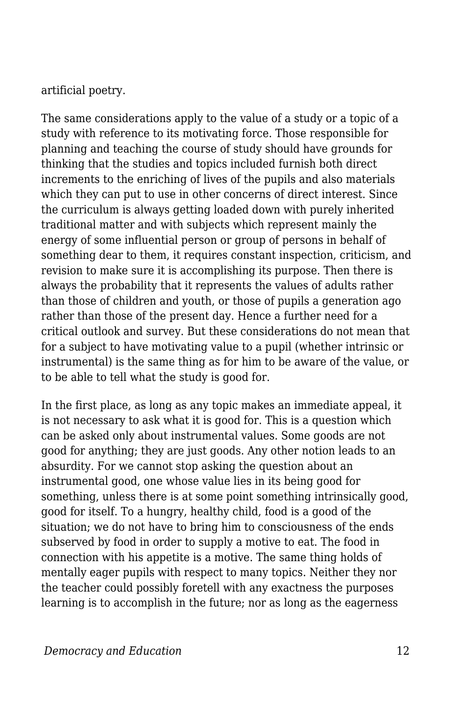artificial poetry.

The same considerations apply to the value of a study or a topic of a study with reference to its motivating force. Those responsible for planning and teaching the course of study should have grounds for thinking that the studies and topics included furnish both direct increments to the enriching of lives of the pupils and also materials which they can put to use in other concerns of direct interest. Since the curriculum is always getting loaded down with purely inherited traditional matter and with subjects which represent mainly the energy of some influential person or group of persons in behalf of something dear to them, it requires constant inspection, criticism, and revision to make sure it is accomplishing its purpose. Then there is always the probability that it represents the values of adults rather than those of children and youth, or those of pupils a generation ago rather than those of the present day. Hence a further need for a critical outlook and survey. But these considerations do not mean that for a subject to have motivating value to a pupil (whether intrinsic or instrumental) is the same thing as for him to be aware of the value, or to be able to tell what the study is good for.

In the first place, as long as any topic makes an immediate appeal, it is not necessary to ask what it is good for. This is a question which can be asked only about instrumental values. Some goods are not good for anything; they are just goods. Any other notion leads to an absurdity. For we cannot stop asking the question about an instrumental good, one whose value lies in its being good for something, unless there is at some point something intrinsically good, good for itself. To a hungry, healthy child, food is a good of the situation; we do not have to bring him to consciousness of the ends subserved by food in order to supply a motive to eat. The food in connection with his appetite is a motive. The same thing holds of mentally eager pupils with respect to many topics. Neither they nor the teacher could possibly foretell with any exactness the purposes learning is to accomplish in the future; nor as long as the eagerness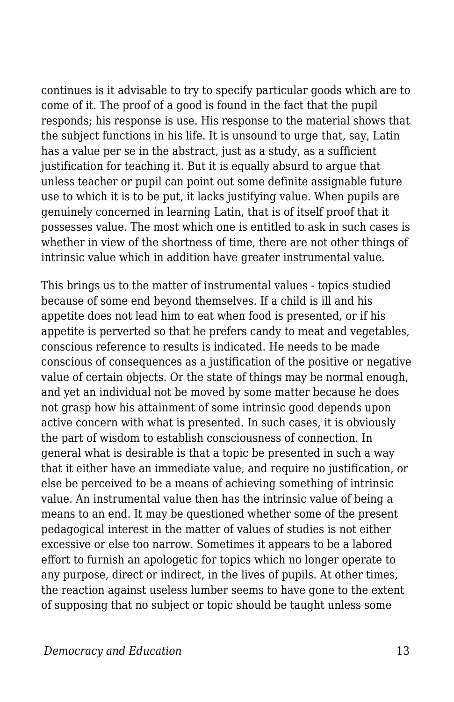continues is it advisable to try to specify particular goods which are to come of it. The proof of a good is found in the fact that the pupil responds; his response is use. His response to the material shows that the subject functions in his life. It is unsound to urge that, say, Latin has a value per se in the abstract, just as a study, as a sufficient justification for teaching it. But it is equally absurd to argue that unless teacher or pupil can point out some definite assignable future use to which it is to be put, it lacks justifying value. When pupils are genuinely concerned in learning Latin, that is of itself proof that it possesses value. The most which one is entitled to ask in such cases is whether in view of the shortness of time, there are not other things of intrinsic value which in addition have greater instrumental value.

This brings us to the matter of instrumental values - topics studied because of some end beyond themselves. If a child is ill and his appetite does not lead him to eat when food is presented, or if his appetite is perverted so that he prefers candy to meat and vegetables, conscious reference to results is indicated. He needs to be made conscious of consequences as a justification of the positive or negative value of certain objects. Or the state of things may be normal enough, and yet an individual not be moved by some matter because he does not grasp how his attainment of some intrinsic good depends upon active concern with what is presented. In such cases, it is obviously the part of wisdom to establish consciousness of connection. In general what is desirable is that a topic be presented in such a way that it either have an immediate value, and require no justification, or else be perceived to be a means of achieving something of intrinsic value. An instrumental value then has the intrinsic value of being a means to an end. It may be questioned whether some of the present pedagogical interest in the matter of values of studies is not either excessive or else too narrow. Sometimes it appears to be a labored effort to furnish an apologetic for topics which no longer operate to any purpose, direct or indirect, in the lives of pupils. At other times, the reaction against useless lumber seems to have gone to the extent of supposing that no subject or topic should be taught unless some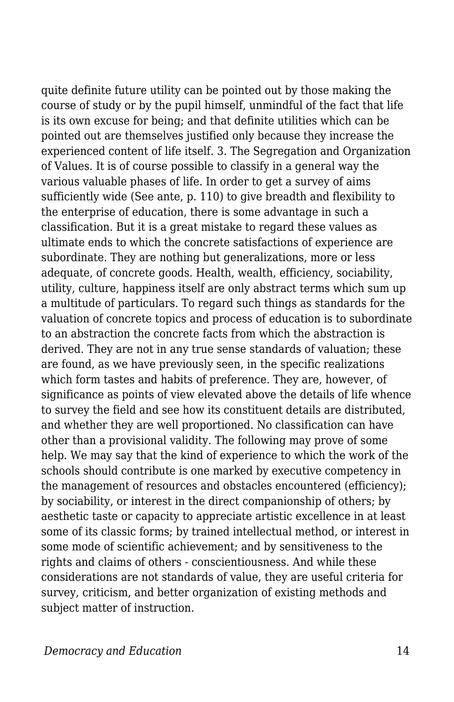quite definite future utility can be pointed out by those making the course of study or by the pupil himself, unmindful of the fact that life is its own excuse for being; and that definite utilities which can be pointed out are themselves justified only because they increase the experienced content of life itself. 3. The Segregation and Organization of Values. It is of course possible to classify in a general way the various valuable phases of life. In order to get a survey of aims sufficiently wide (See ante, p. 110) to give breadth and flexibility to the enterprise of education, there is some advantage in such a classification. But it is a great mistake to regard these values as ultimate ends to which the concrete satisfactions of experience are subordinate. They are nothing but generalizations, more or less adequate, of concrete goods. Health, wealth, efficiency, sociability, utility, culture, happiness itself are only abstract terms which sum up a multitude of particulars. To regard such things as standards for the valuation of concrete topics and process of education is to subordinate to an abstraction the concrete facts from which the abstraction is derived. They are not in any true sense standards of valuation; these are found, as we have previously seen, in the specific realizations which form tastes and habits of preference. They are, however, of significance as points of view elevated above the details of life whence to survey the field and see how its constituent details are distributed, and whether they are well proportioned. No classification can have other than a provisional validity. The following may prove of some help. We may say that the kind of experience to which the work of the schools should contribute is one marked by executive competency in the management of resources and obstacles encountered (efficiency); by sociability, or interest in the direct companionship of others; by aesthetic taste or capacity to appreciate artistic excellence in at least some of its classic forms; by trained intellectual method, or interest in some mode of scientific achievement; and by sensitiveness to the rights and claims of others - conscientiousness. And while these considerations are not standards of value, they are useful criteria for survey, criticism, and better organization of existing methods and subject matter of instruction.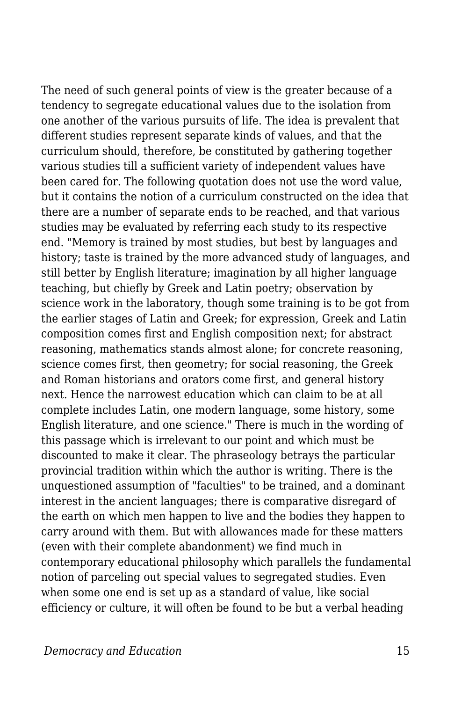The need of such general points of view is the greater because of a tendency to segregate educational values due to the isolation from one another of the various pursuits of life. The idea is prevalent that different studies represent separate kinds of values, and that the curriculum should, therefore, be constituted by gathering together various studies till a sufficient variety of independent values have been cared for. The following quotation does not use the word value, but it contains the notion of a curriculum constructed on the idea that there are a number of separate ends to be reached, and that various studies may be evaluated by referring each study to its respective end. "Memory is trained by most studies, but best by languages and history; taste is trained by the more advanced study of languages, and still better by English literature; imagination by all higher language teaching, but chiefly by Greek and Latin poetry; observation by science work in the laboratory, though some training is to be got from the earlier stages of Latin and Greek; for expression, Greek and Latin composition comes first and English composition next; for abstract reasoning, mathematics stands almost alone; for concrete reasoning, science comes first, then geometry; for social reasoning, the Greek and Roman historians and orators come first, and general history next. Hence the narrowest education which can claim to be at all complete includes Latin, one modern language, some history, some English literature, and one science." There is much in the wording of this passage which is irrelevant to our point and which must be discounted to make it clear. The phraseology betrays the particular provincial tradition within which the author is writing. There is the unquestioned assumption of "faculties" to be trained, and a dominant interest in the ancient languages; there is comparative disregard of the earth on which men happen to live and the bodies they happen to carry around with them. But with allowances made for these matters (even with their complete abandonment) we find much in contemporary educational philosophy which parallels the fundamental notion of parceling out special values to segregated studies. Even when some one end is set up as a standard of value, like social efficiency or culture, it will often be found to be but a verbal heading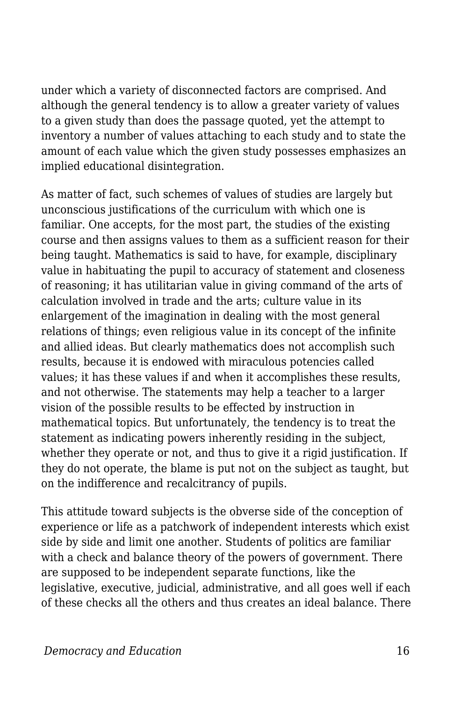under which a variety of disconnected factors are comprised. And although the general tendency is to allow a greater variety of values to a given study than does the passage quoted, yet the attempt to inventory a number of values attaching to each study and to state the amount of each value which the given study possesses emphasizes an implied educational disintegration.

As matter of fact, such schemes of values of studies are largely but unconscious justifications of the curriculum with which one is familiar. One accepts, for the most part, the studies of the existing course and then assigns values to them as a sufficient reason for their being taught. Mathematics is said to have, for example, disciplinary value in habituating the pupil to accuracy of statement and closeness of reasoning; it has utilitarian value in giving command of the arts of calculation involved in trade and the arts; culture value in its enlargement of the imagination in dealing with the most general relations of things; even religious value in its concept of the infinite and allied ideas. But clearly mathematics does not accomplish such results, because it is endowed with miraculous potencies called values; it has these values if and when it accomplishes these results, and not otherwise. The statements may help a teacher to a larger vision of the possible results to be effected by instruction in mathematical topics. But unfortunately, the tendency is to treat the statement as indicating powers inherently residing in the subject, whether they operate or not, and thus to give it a rigid justification. If they do not operate, the blame is put not on the subject as taught, but on the indifference and recalcitrancy of pupils.

This attitude toward subjects is the obverse side of the conception of experience or life as a patchwork of independent interests which exist side by side and limit one another. Students of politics are familiar with a check and balance theory of the powers of government. There are supposed to be independent separate functions, like the legislative, executive, judicial, administrative, and all goes well if each of these checks all the others and thus creates an ideal balance. There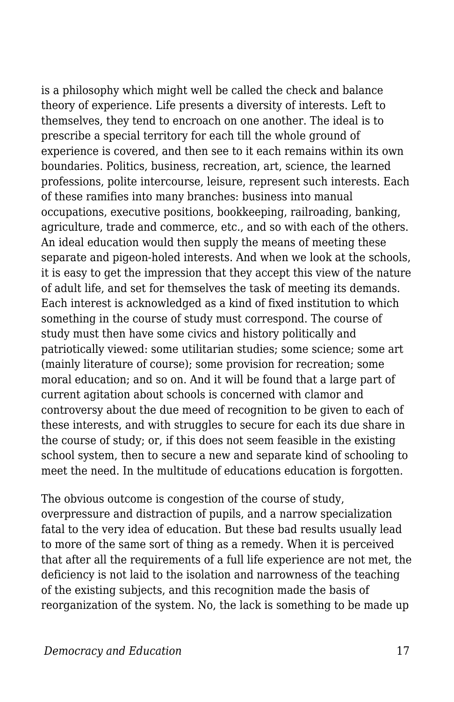is a philosophy which might well be called the check and balance theory of experience. Life presents a diversity of interests. Left to themselves, they tend to encroach on one another. The ideal is to prescribe a special territory for each till the whole ground of experience is covered, and then see to it each remains within its own boundaries. Politics, business, recreation, art, science, the learned professions, polite intercourse, leisure, represent such interests. Each of these ramifies into many branches: business into manual occupations, executive positions, bookkeeping, railroading, banking, agriculture, trade and commerce, etc., and so with each of the others. An ideal education would then supply the means of meeting these separate and pigeon-holed interests. And when we look at the schools, it is easy to get the impression that they accept this view of the nature of adult life, and set for themselves the task of meeting its demands. Each interest is acknowledged as a kind of fixed institution to which something in the course of study must correspond. The course of study must then have some civics and history politically and patriotically viewed: some utilitarian studies; some science; some art (mainly literature of course); some provision for recreation; some moral education; and so on. And it will be found that a large part of current agitation about schools is concerned with clamor and controversy about the due meed of recognition to be given to each of these interests, and with struggles to secure for each its due share in the course of study; or, if this does not seem feasible in the existing school system, then to secure a new and separate kind of schooling to meet the need. In the multitude of educations education is forgotten.

The obvious outcome is congestion of the course of study, overpressure and distraction of pupils, and a narrow specialization fatal to the very idea of education. But these bad results usually lead to more of the same sort of thing as a remedy. When it is perceived that after all the requirements of a full life experience are not met, the deficiency is not laid to the isolation and narrowness of the teaching of the existing subjects, and this recognition made the basis of reorganization of the system. No, the lack is something to be made up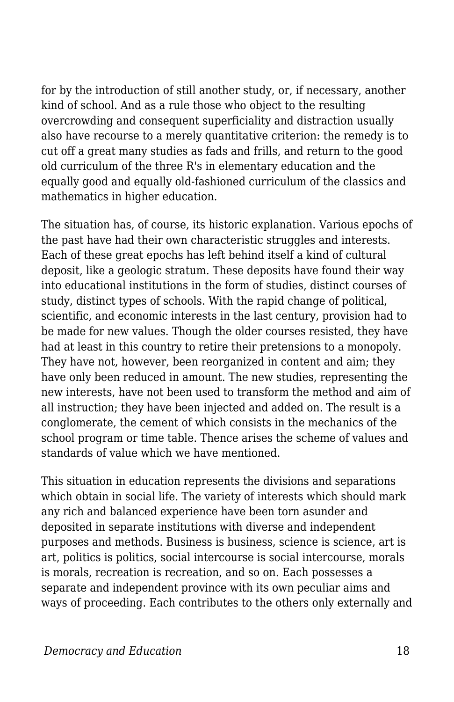for by the introduction of still another study, or, if necessary, another kind of school. And as a rule those who object to the resulting overcrowding and consequent superficiality and distraction usually also have recourse to a merely quantitative criterion: the remedy is to cut off a great many studies as fads and frills, and return to the good old curriculum of the three R's in elementary education and the equally good and equally old-fashioned curriculum of the classics and mathematics in higher education.

The situation has, of course, its historic explanation. Various epochs of the past have had their own characteristic struggles and interests. Each of these great epochs has left behind itself a kind of cultural deposit, like a geologic stratum. These deposits have found their way into educational institutions in the form of studies, distinct courses of study, distinct types of schools. With the rapid change of political, scientific, and economic interests in the last century, provision had to be made for new values. Though the older courses resisted, they have had at least in this country to retire their pretensions to a monopoly. They have not, however, been reorganized in content and aim; they have only been reduced in amount. The new studies, representing the new interests, have not been used to transform the method and aim of all instruction; they have been injected and added on. The result is a conglomerate, the cement of which consists in the mechanics of the school program or time table. Thence arises the scheme of values and standards of value which we have mentioned.

This situation in education represents the divisions and separations which obtain in social life. The variety of interests which should mark any rich and balanced experience have been torn asunder and deposited in separate institutions with diverse and independent purposes and methods. Business is business, science is science, art is art, politics is politics, social intercourse is social intercourse, morals is morals, recreation is recreation, and so on. Each possesses a separate and independent province with its own peculiar aims and ways of proceeding. Each contributes to the others only externally and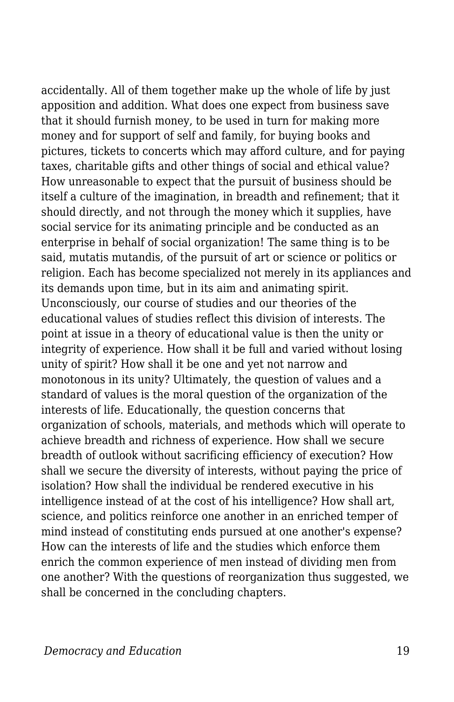accidentally. All of them together make up the whole of life by just apposition and addition. What does one expect from business save that it should furnish money, to be used in turn for making more money and for support of self and family, for buying books and pictures, tickets to concerts which may afford culture, and for paying taxes, charitable gifts and other things of social and ethical value? How unreasonable to expect that the pursuit of business should be itself a culture of the imagination, in breadth and refinement; that it should directly, and not through the money which it supplies, have social service for its animating principle and be conducted as an enterprise in behalf of social organization! The same thing is to be said, mutatis mutandis, of the pursuit of art or science or politics or religion. Each has become specialized not merely in its appliances and its demands upon time, but in its aim and animating spirit. Unconsciously, our course of studies and our theories of the educational values of studies reflect this division of interests. The point at issue in a theory of educational value is then the unity or integrity of experience. How shall it be full and varied without losing unity of spirit? How shall it be one and yet not narrow and monotonous in its unity? Ultimately, the question of values and a standard of values is the moral question of the organization of the interests of life. Educationally, the question concerns that organization of schools, materials, and methods which will operate to achieve breadth and richness of experience. How shall we secure breadth of outlook without sacrificing efficiency of execution? How shall we secure the diversity of interests, without paying the price of isolation? How shall the individual be rendered executive in his intelligence instead of at the cost of his intelligence? How shall art, science, and politics reinforce one another in an enriched temper of mind instead of constituting ends pursued at one another's expense? How can the interests of life and the studies which enforce them enrich the common experience of men instead of dividing men from one another? With the questions of reorganization thus suggested, we shall be concerned in the concluding chapters.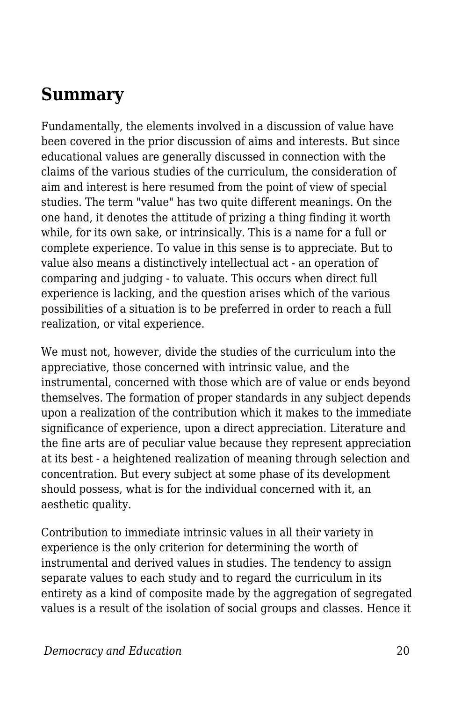## **Summary**

Fundamentally, the elements involved in a discussion of value have been covered in the prior discussion of aims and interests. But since educational values are generally discussed in connection with the claims of the various studies of the curriculum, the consideration of aim and interest is here resumed from the point of view of special studies. The term "value" has two quite different meanings. On the one hand, it denotes the attitude of prizing a thing finding it worth while, for its own sake, or intrinsically. This is a name for a full or complete experience. To value in this sense is to appreciate. But to value also means a distinctively intellectual act - an operation of comparing and judging - to valuate. This occurs when direct full experience is lacking, and the question arises which of the various possibilities of a situation is to be preferred in order to reach a full realization, or vital experience.

We must not, however, divide the studies of the curriculum into the appreciative, those concerned with intrinsic value, and the instrumental, concerned with those which are of value or ends beyond themselves. The formation of proper standards in any subject depends upon a realization of the contribution which it makes to the immediate significance of experience, upon a direct appreciation. Literature and the fine arts are of peculiar value because they represent appreciation at its best - a heightened realization of meaning through selection and concentration. But every subject at some phase of its development should possess, what is for the individual concerned with it, an aesthetic quality.

Contribution to immediate intrinsic values in all their variety in experience is the only criterion for determining the worth of instrumental and derived values in studies. The tendency to assign separate values to each study and to regard the curriculum in its entirety as a kind of composite made by the aggregation of segregated values is a result of the isolation of social groups and classes. Hence it